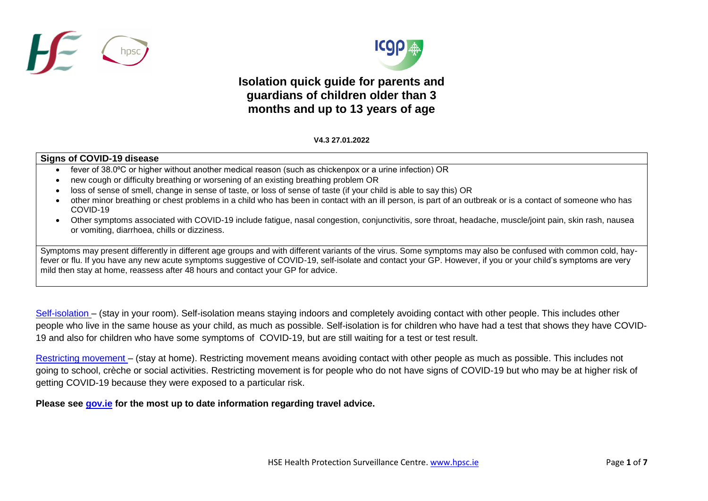



## **Isolation quick guide for parents and guardians of children older than 3 months and up to 13 years of age**

## V **V4.3 27.01.2022**

## **Signs of COVID-19 disease**

- fever of 38.0°C or higher without another medical reason (such as chickenpox or a urine infection) OR
- new cough or difficulty breathing or worsening of an existing breathing problem OR
- loss of sense of smell, change in sense of taste, or loss of sense of taste (if your child is able to say this) OR
- other minor breathing or chest problems in a child who has been in contact with an ill person, is part of an outbreak or is a contact of someone who has COVID-19
- Other symptoms associated with COVID-19 include fatigue, nasal congestion, conjunctivitis, sore throat, headache, muscle/joint pain, skin rash, nausea or vomiting, diarrhoea, chills or dizziness.

Symptoms may present differently in different age groups and with different variants of the virus. Some symptoms may also be confused with common cold, hayfever or flu. If you have any new acute symptoms suggestive of COVID-19, self-isolate and contact your GP. However, if you or your child's symptoms are very mild then stay at home, reassess after 48 hours and contact your GP for advice.

[Self-isolation](https://www2.hse.ie/conditions/coronavirus/managing-coronavirus-at-home/self-isolation.html) – (stay in your room). Self-isolation means staying indoors and completely avoiding contact with other people. This includes other people who live in the same house as your child, as much as possible. Self-isolation is for children who have had a test that shows they have COVID-19 and also for children who have some symptoms of COVID-19, but are still waiting for a test or test result.

[Restricting movement](https://www2.hse.ie/conditions/coronavirus/managing-coronavirus-at-home/if-you-live-with-someone-who-has-coronavirus.html) – (stay at home). Restricting movement means avoiding contact with other people as much as possible. This includes not going to school, crèche or social activities. Restricting movement is for people who do not have signs of COVID-19 but who may be at higher risk of getting COVID-19 because they were exposed to a particular risk.

**Please see [gov.ie](https://www.gov.ie/en/publication/77952-government-advice-on-international-travel/#travelling-to-ireland) for the most up to date information regarding travel advice.**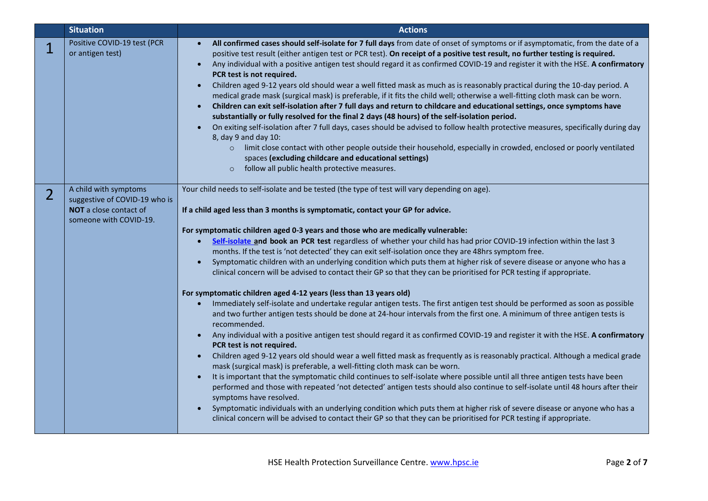|                | <b>Situation</b>                                                                                           | <b>Actions</b>                                                                                                                                                                                                                                                                                                                                                                                                                                                                                                                                                                                                                                                                                                                                                                                                                                                                                                                                                                                                                                                                                                                                                                                                                                                                                                                                                                                                                                                                                                                                                                                                                                                                                                                                                                                                                                                                                                                                                                                                                                                     |
|----------------|------------------------------------------------------------------------------------------------------------|--------------------------------------------------------------------------------------------------------------------------------------------------------------------------------------------------------------------------------------------------------------------------------------------------------------------------------------------------------------------------------------------------------------------------------------------------------------------------------------------------------------------------------------------------------------------------------------------------------------------------------------------------------------------------------------------------------------------------------------------------------------------------------------------------------------------------------------------------------------------------------------------------------------------------------------------------------------------------------------------------------------------------------------------------------------------------------------------------------------------------------------------------------------------------------------------------------------------------------------------------------------------------------------------------------------------------------------------------------------------------------------------------------------------------------------------------------------------------------------------------------------------------------------------------------------------------------------------------------------------------------------------------------------------------------------------------------------------------------------------------------------------------------------------------------------------------------------------------------------------------------------------------------------------------------------------------------------------------------------------------------------------------------------------------------------------|
|                | Positive COVID-19 test (PCR<br>or antigen test)                                                            | All confirmed cases should self-isolate for 7 full days from date of onset of symptoms or if asymptomatic, from the date of a<br>$\bullet$<br>positive test result (either antigen test or PCR test). On receipt of a positive test result, no further testing is required.<br>Any individual with a positive antigen test should regard it as confirmed COVID-19 and register it with the HSE. A confirmatory<br>$\bullet$<br>PCR test is not required.<br>Children aged 9-12 years old should wear a well fitted mask as much as is reasonably practical during the 10-day period. A<br>$\bullet$<br>medical grade mask (surgical mask) is preferable, if it fits the child well; otherwise a well-fitting cloth mask can be worn.<br>Children can exit self-isolation after 7 full days and return to childcare and educational settings, once symptoms have<br>substantially or fully resolved for the final 2 days (48 hours) of the self-isolation period.<br>On exiting self-isolation after 7 full days, cases should be advised to follow health protective measures, specifically during day<br>8, day 9 and day 10:<br>o limit close contact with other people outside their household, especially in crowded, enclosed or poorly ventilated<br>spaces (excluding childcare and educational settings)<br>follow all public health protective measures.<br>$\circ$                                                                                                                                                                                                                                                                                                                                                                                                                                                                                                                                                                                                                                                                                       |
| $\overline{2}$ | A child with symptoms<br>suggestive of COVID-19 who is<br>NOT a close contact of<br>someone with COVID-19. | Your child needs to self-isolate and be tested (the type of test will vary depending on age).<br>If a child aged less than 3 months is symptomatic, contact your GP for advice.<br>For symptomatic children aged 0-3 years and those who are medically vulnerable:<br>Self-isolate and book an PCR test regardless of whether your child has had prior COVID-19 infection within the last 3<br>months. If the test is 'not detected' they can exit self-isolation once they are 48hrs symptom free.<br>Symptomatic children with an underlying condition which puts them at higher risk of severe disease or anyone who has a<br>clinical concern will be advised to contact their GP so that they can be prioritised for PCR testing if appropriate.<br>For symptomatic children aged 4-12 years (less than 13 years old)<br>Immediately self-isolate and undertake regular antigen tests. The first antigen test should be performed as soon as possible<br>$\bullet$<br>and two further antigen tests should be done at 24-hour intervals from the first one. A minimum of three antigen tests is<br>recommended.<br>Any individual with a positive antigen test should regard it as confirmed COVID-19 and register it with the HSE. A confirmatory<br>PCR test is not required.<br>Children aged 9-12 years old should wear a well fitted mask as frequently as is reasonably practical. Although a medical grade<br>$\bullet$<br>mask (surgical mask) is preferable, a well-fitting cloth mask can be worn.<br>It is important that the symptomatic child continues to self-isolate where possible until all three antigen tests have been<br>performed and those with repeated 'not detected' antigen tests should also continue to self-isolate until 48 hours after their<br>symptoms have resolved.<br>Symptomatic individuals with an underlying condition which puts them at higher risk of severe disease or anyone who has a<br>clinical concern will be advised to contact their GP so that they can be prioritised for PCR testing if appropriate. |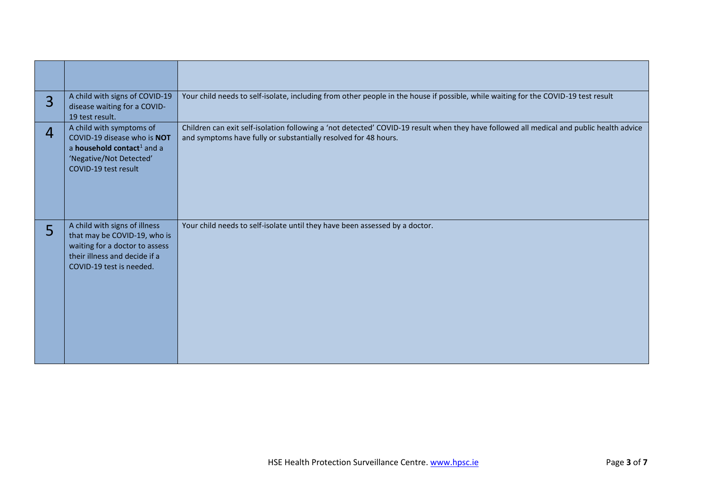| $\overline{3}$ | A child with signs of COVID-19<br>disease waiting for a COVID-<br>19 test result.                                                                            | Your child needs to self-isolate, including from other people in the house if possible, while waiting for the COVID-19 test result                                                                          |
|----------------|--------------------------------------------------------------------------------------------------------------------------------------------------------------|-------------------------------------------------------------------------------------------------------------------------------------------------------------------------------------------------------------|
| 4              | A child with symptoms of<br>COVID-19 disease who is NOT<br>a household contact <sup>1</sup> and a<br>'Negative/Not Detected'<br>COVID-19 test result         | Children can exit self-isolation following a 'not detected' COVID-19 result when they have followed all medical and public health advice<br>and symptoms have fully or substantially resolved for 48 hours. |
| 5              | A child with signs of illness<br>that may be COVID-19, who is<br>waiting for a doctor to assess<br>their illness and decide if a<br>COVID-19 test is needed. | Your child needs to self-isolate until they have been assessed by a doctor.                                                                                                                                 |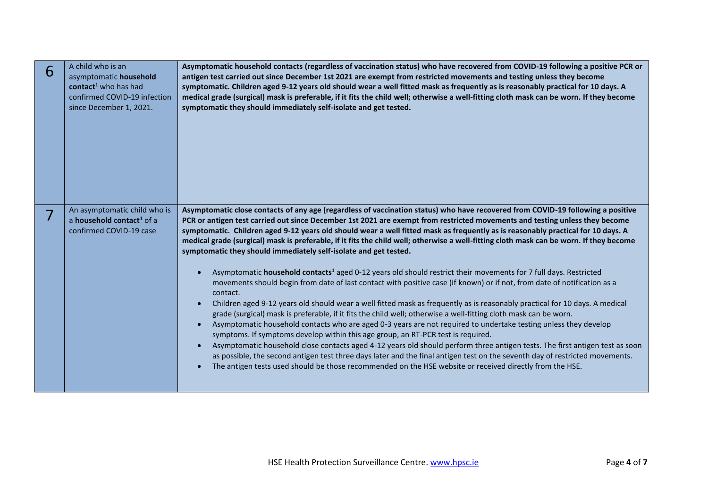| 6 | A child who is an<br>asymptomatic household<br>contact <sup>1</sup> who has had<br>confirmed COVID-19 infection<br>since December 1, 2021. | Asymptomatic household contacts (regardless of vaccination status) who have recovered from COVID-19 following a positive PCR or<br>antigen test carried out since December 1st 2021 are exempt from restricted movements and testing unless they become<br>symptomatic. Children aged 9-12 years old should wear a well fitted mask as frequently as is reasonably practical for 10 days. A<br>medical grade (surgical) mask is preferable, if it fits the child well; otherwise a well-fitting cloth mask can be worn. If they become<br>symptomatic they should immediately self-isolate and get tested.                                                                                                                                                                                                                                                                                                                                                                                                                                                                                                                                                                                                                                                                                                                                                                                                                                                                                                                                                                                                                                                                                                                       |
|---|--------------------------------------------------------------------------------------------------------------------------------------------|----------------------------------------------------------------------------------------------------------------------------------------------------------------------------------------------------------------------------------------------------------------------------------------------------------------------------------------------------------------------------------------------------------------------------------------------------------------------------------------------------------------------------------------------------------------------------------------------------------------------------------------------------------------------------------------------------------------------------------------------------------------------------------------------------------------------------------------------------------------------------------------------------------------------------------------------------------------------------------------------------------------------------------------------------------------------------------------------------------------------------------------------------------------------------------------------------------------------------------------------------------------------------------------------------------------------------------------------------------------------------------------------------------------------------------------------------------------------------------------------------------------------------------------------------------------------------------------------------------------------------------------------------------------------------------------------------------------------------------|
| 7 | An asymptomatic child who is<br>a <b>household contact</b> <sup>1</sup> of a<br>confirmed COVID-19 case                                    | Asymptomatic close contacts of any age (regardless of vaccination status) who have recovered from COVID-19 following a positive<br>PCR or antigen test carried out since December 1st 2021 are exempt from restricted movements and testing unless they become<br>symptomatic. Children aged 9-12 years old should wear a well fitted mask as frequently as is reasonably practical for 10 days. A<br>medical grade (surgical) mask is preferable, if it fits the child well; otherwise a well-fitting cloth mask can be worn. If they become<br>symptomatic they should immediately self-isolate and get tested.<br>Asymptomatic household contacts <sup>1</sup> aged 0-12 years old should restrict their movements for 7 full days. Restricted<br>movements should begin from date of last contact with positive case (if known) or if not, from date of notification as a<br>contact.<br>Children aged 9-12 years old should wear a well fitted mask as frequently as is reasonably practical for 10 days. A medical<br>grade (surgical) mask is preferable, if it fits the child well; otherwise a well-fitting cloth mask can be worn.<br>Asymptomatic household contacts who are aged 0-3 years are not required to undertake testing unless they develop<br>symptoms. If symptoms develop within this age group, an RT-PCR test is required.<br>Asymptomatic household close contacts aged 4-12 years old should perform three antigen tests. The first antigen test as soon<br>as possible, the second antigen test three days later and the final antigen test on the seventh day of restricted movements.<br>The antigen tests used should be those recommended on the HSE website or received directly from the HSE. |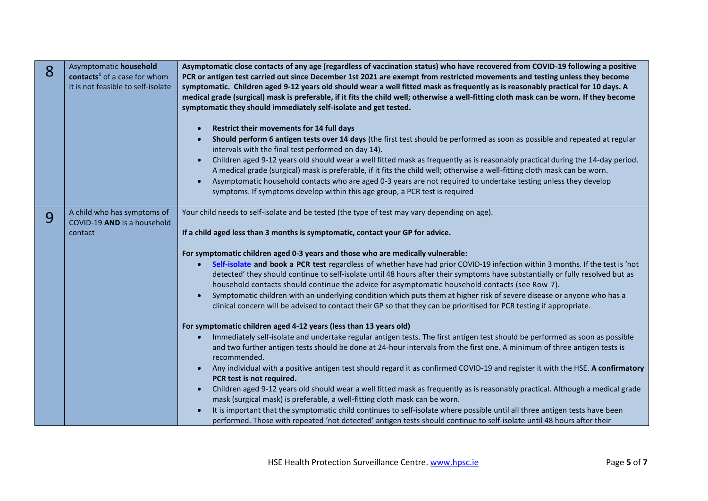| 8 | Asymptomatic household<br>contacts <sup>1</sup> of a case for whom<br>it is not feasible to self-isolate | Asymptomatic close contacts of any age (regardless of vaccination status) who have recovered from COVID-19 following a positive<br>PCR or antigen test carried out since December 1st 2021 are exempt from restricted movements and testing unless they become<br>symptomatic. Children aged 9-12 years old should wear a well fitted mask as frequently as is reasonably practical for 10 days. A<br>medical grade (surgical) mask is preferable, if it fits the child well; otherwise a well-fitting cloth mask can be worn. If they become<br>symptomatic they should immediately self-isolate and get tested.<br>Restrict their movements for 14 full days<br>Should perform 6 antigen tests over 14 days (the first test should be performed as soon as possible and repeated at regular<br>intervals with the final test performed on day 14).<br>Children aged 9-12 years old should wear a well fitted mask as frequently as is reasonably practical during the 14-day period.<br>A medical grade (surgical) mask is preferable, if it fits the child well; otherwise a well-fitting cloth mask can be worn.<br>Asymptomatic household contacts who are aged 0-3 years are not required to undertake testing unless they develop<br>symptoms. If symptoms develop within this age group, a PCR test is required                                                                                                                                                                                                                                                                                                                                                                                                                                                                                                                                                                          |
|---|----------------------------------------------------------------------------------------------------------|--------------------------------------------------------------------------------------------------------------------------------------------------------------------------------------------------------------------------------------------------------------------------------------------------------------------------------------------------------------------------------------------------------------------------------------------------------------------------------------------------------------------------------------------------------------------------------------------------------------------------------------------------------------------------------------------------------------------------------------------------------------------------------------------------------------------------------------------------------------------------------------------------------------------------------------------------------------------------------------------------------------------------------------------------------------------------------------------------------------------------------------------------------------------------------------------------------------------------------------------------------------------------------------------------------------------------------------------------------------------------------------------------------------------------------------------------------------------------------------------------------------------------------------------------------------------------------------------------------------------------------------------------------------------------------------------------------------------------------------------------------------------------------------------------------------------------------------------------------------------------------------------------|
| 9 | A child who has symptoms of<br>COVID-19 AND is a household<br>contact                                    | Your child needs to self-isolate and be tested (the type of test may vary depending on age).<br>If a child aged less than 3 months is symptomatic, contact your GP for advice.<br>For symptomatic children aged 0-3 years and those who are medically vulnerable:<br>Self-isolate and book a PCR test regardless of whether have had prior COVID-19 infection within 3 months. If the test is 'not<br>detected' they should continue to self-isolate until 48 hours after their symptoms have substantially or fully resolved but as<br>household contacts should continue the advice for asymptomatic household contacts (see Row 7).<br>Symptomatic children with an underlying condition which puts them at higher risk of severe disease or anyone who has a<br>clinical concern will be advised to contact their GP so that they can be prioritised for PCR testing if appropriate.<br>For symptomatic children aged 4-12 years (less than 13 years old)<br>Immediately self-isolate and undertake regular antigen tests. The first antigen test should be performed as soon as possible<br>and two further antigen tests should be done at 24-hour intervals from the first one. A minimum of three antigen tests is<br>recommended.<br>Any individual with a positive antigen test should regard it as confirmed COVID-19 and register it with the HSE. A confirmatory<br>$\bullet$<br>PCR test is not required.<br>Children aged 9-12 years old should wear a well fitted mask as frequently as is reasonably practical. Although a medical grade<br>mask (surgical mask) is preferable, a well-fitting cloth mask can be worn.<br>It is important that the symptomatic child continues to self-isolate where possible until all three antigen tests have been<br>performed. Those with repeated 'not detected' antigen tests should continue to self-isolate until 48 hours after their |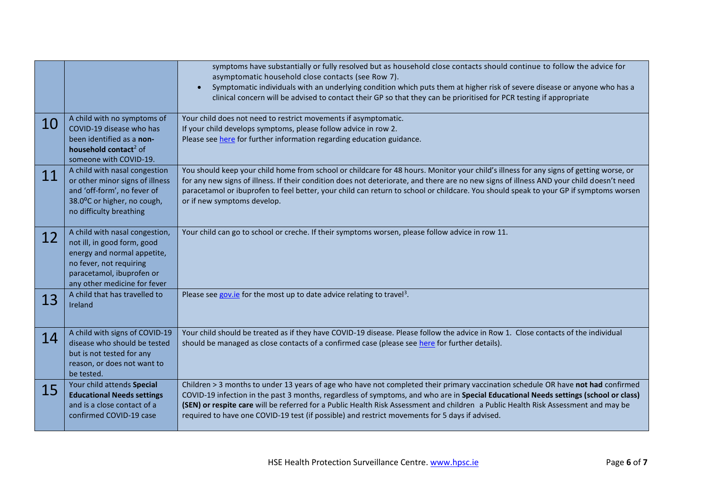|    |                                                                                                                                                                                      | symptoms have substantially or fully resolved but as household close contacts should continue to follow the advice for<br>asymptomatic household close contacts (see Row 7).<br>Symptomatic individuals with an underlying condition which puts them at higher risk of severe disease or anyone who has a<br>clinical concern will be advised to contact their GP so that they can be prioritised for PCR testing if appropriate                                                                                 |
|----|--------------------------------------------------------------------------------------------------------------------------------------------------------------------------------------|------------------------------------------------------------------------------------------------------------------------------------------------------------------------------------------------------------------------------------------------------------------------------------------------------------------------------------------------------------------------------------------------------------------------------------------------------------------------------------------------------------------|
| 10 | A child with no symptoms of<br>COVID-19 disease who has<br>been identified as a non-<br>household contact <sup>2</sup> of<br>someone with COVID-19.                                  | Your child does not need to restrict movements if asymptomatic.<br>If your child develops symptoms, please follow advice in row 2.<br>Please see here for further information regarding education guidance.                                                                                                                                                                                                                                                                                                      |
| 11 | A child with nasal congestion<br>or other minor signs of illness<br>and 'off-form', no fever of<br>38.0°C or higher, no cough,<br>no difficulty breathing                            | You should keep your child home from school or childcare for 48 hours. Monitor your child's illness for any signs of getting worse, or<br>for any new signs of illness. If their condition does not deteriorate, and there are no new signs of illness AND your child doesn't need<br>paracetamol or ibuprofen to feel better, your child can return to school or childcare. You should speak to your GP if symptoms worsen<br>or if new symptoms develop.                                                       |
| 12 | A child with nasal congestion,<br>not ill, in good form, good<br>energy and normal appetite,<br>no fever, not requiring<br>paracetamol, ibuprofen or<br>any other medicine for fever | Your child can go to school or creche. If their symptoms worsen, please follow advice in row 11.                                                                                                                                                                                                                                                                                                                                                                                                                 |
| 13 | A child that has travelled to<br>Ireland                                                                                                                                             | Please see gov.ie for the most up to date advice relating to travel <sup>3</sup> .                                                                                                                                                                                                                                                                                                                                                                                                                               |
| 14 | A child with signs of COVID-19<br>disease who should be tested<br>but is not tested for any<br>reason, or does not want to<br>be tested.                                             | Your child should be treated as if they have COVID-19 disease. Please follow the advice in Row 1. Close contacts of the individual<br>should be managed as close contacts of a confirmed case (please see here for further details).                                                                                                                                                                                                                                                                             |
| 15 | Your child attends Special<br><b>Educational Needs settings</b><br>and is a close contact of a<br>confirmed COVID-19 case                                                            | Children > 3 months to under 13 years of age who have not completed their primary vaccination schedule OR have not had confirmed<br>COVID-19 infection in the past 3 months, regardless of symptoms, and who are in Special Educational Needs settings (school or class)<br>(SEN) or respite care will be referred for a Public Health Risk Assessment and children a Public Health Risk Assessment and may be<br>required to have one COVID-19 test (if possible) and restrict movements for 5 days if advised. |